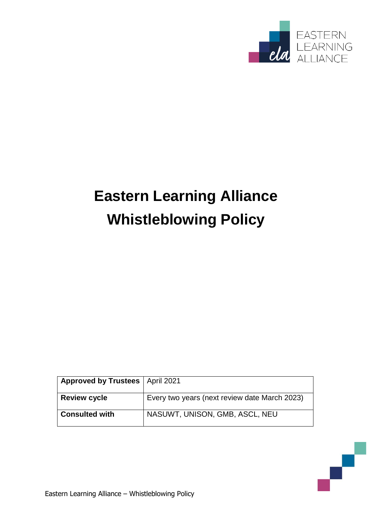

# **Eastern Learning Alliance Whistleblowing Policy**

| Approved by Trustees   April 2021 |                                               |
|-----------------------------------|-----------------------------------------------|
| <b>Review cycle</b>               | Every two years (next review date March 2023) |
| <b>Consulted with</b>             | NASUWT, UNISON, GMB, ASCL, NEU                |

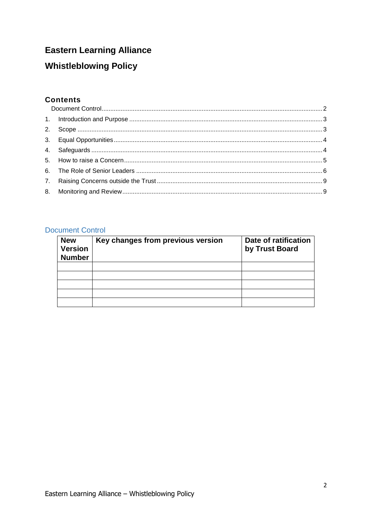# **Eastern Learning Alliance**

# **Whistleblowing Policy**

## **Contents**

# <span id="page-1-0"></span>**Document Control**

| <b>New</b><br><b>Version</b><br><b>Number</b> | Key changes from previous version | Date of ratification<br>by Trust Board |
|-----------------------------------------------|-----------------------------------|----------------------------------------|
|                                               |                                   |                                        |
|                                               |                                   |                                        |
|                                               |                                   |                                        |
|                                               |                                   |                                        |
|                                               |                                   |                                        |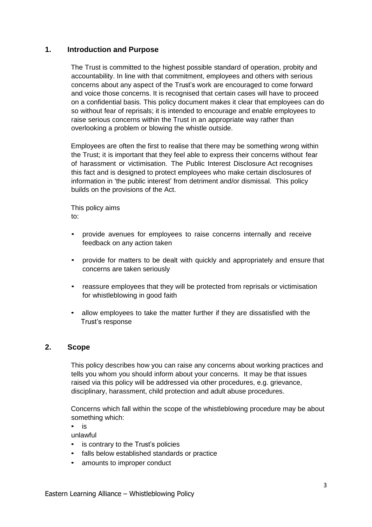#### <span id="page-2-0"></span>**1. Introduction and Purpose**

The Trust is committed to the highest possible standard of operation, probity and accountability. In line with that commitment, employees and others with serious concerns about any aspect of the Trust's work are encouraged to come forward and voice those concerns. It is recognised that certain cases will have to proceed on a confidential basis. This policy document makes it clear that employees can do so without fear of reprisals; it is intended to encourage and enable employees to raise serious concerns within the Trust in an appropriate way rather than overlooking a problem or blowing the whistle outside.

Employees are often the first to realise that there may be something wrong within the Trust; it is important that they feel able to express their concerns without fear of harassment or victimisation. The Public Interest Disclosure Act recognises this fact and is designed to protect employees who make certain disclosures of information in 'the public interest' from detriment and/or dismissal. This policy builds on the provisions of the Act.

This policy aims to:

- provide avenues for employees to raise concerns internally and receive feedback on any action taken
- provide for matters to be dealt with quickly and appropriately and ensure that concerns are taken seriously
- reassure employees that they will be protected from reprisals or victimisation for whistleblowing in good faith
- allow employees to take the matter further if they are dissatisfied with the Trust's response

#### <span id="page-2-1"></span>**2. Scope**

This policy describes how you can raise any concerns about working practices and tells you whom you should inform about your concerns. It may be that issues raised via this policy will be addressed via other procedures, e.g. grievance, disciplinary, harassment, child protection and adult abuse procedures.

Concerns which fall within the scope of the whistleblowing procedure may be about something which:

• is

unlawful

- is contrary to the Trust's policies
- falls below established standards or practice
- amounts to improper conduct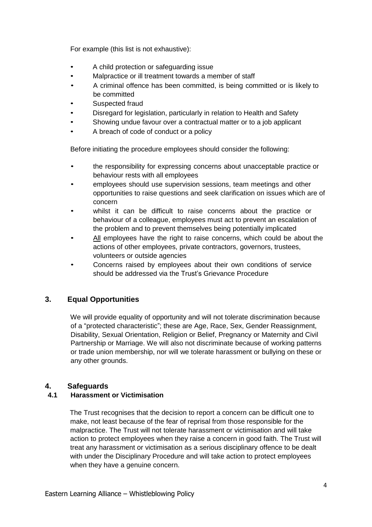For example (this list is not exhaustive):

- A child protection or safeguarding issue
- Malpractice or ill treatment towards a member of staff
- A criminal offence has been committed, is being committed or is likely to be committed
- Suspected fraud
- Disregard for legislation, particularly in relation to Health and Safety
- Showing undue favour over a contractual matter or to a job applicant
- A breach of code of conduct or a policy

Before initiating the procedure employees should consider the following:

- the responsibility for expressing concerns about unacceptable practice or behaviour rests with all employees
- employees should use supervision sessions, team meetings and other opportunities to raise questions and seek clarification on issues which are of concern
- whilst it can be difficult to raise concerns about the practice or behaviour of a colleague, employees must act to prevent an escalation of the problem and to prevent themselves being potentially implicated
- All employees have the right to raise concerns, which could be about the actions of other employees, private contractors, governors, trustees, volunteers or outside agencies
- Concerns raised by employees about their own conditions of service should be addressed via the Trust's Grievance Procedure

# <span id="page-3-0"></span>**3. Equal Opportunities**

We will provide equality of opportunity and will not tolerate discrimination because of a "protected characteristic"; these are Age, Race, Sex, Gender Reassignment, Disability, Sexual Orientation, Religion or Belief, Pregnancy or Maternity and Civil Partnership or Marriage. We will also not discriminate because of working patterns or trade union membership, nor will we tolerate harassment or bullying on these or any other grounds.

# <span id="page-3-1"></span>**4. Safeguards**

### **4.1 Harassment or Victimisation**

The Trust recognises that the decision to report a concern can be difficult one to make, not least because of the fear of reprisal from those responsible for the malpractice. The Trust will not tolerate harassment or victimisation and will take action to protect employees when they raise a concern in good faith. The Trust will treat any harassment or victimisation as a serious disciplinary offence to be dealt with under the Disciplinary Procedure and will take action to protect employees when they have a genuine concern.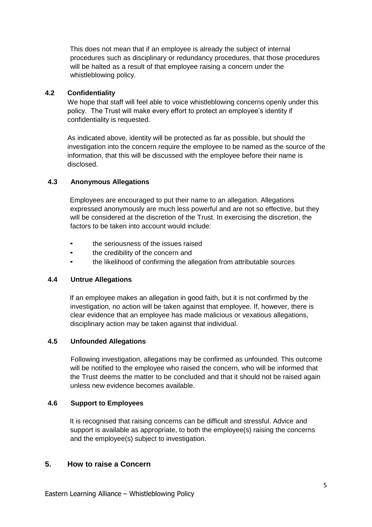This does not mean that if an employee is already the subject of internal procedures such as disciplinary or redundancy procedures, that those procedures will be halted as a result of that employee raising a concern under the whistleblowing policy.

#### **4.2 Confidentiality**

We hope that staff will feel able to voice whistleblowing concerns openly under this policy. The Trust will make every effort to protect an employee's identity if confidentiality is requested.

As indicated above, identity will be protected as far as possible, but should the investigation into the concern require the employee to be named as the source of the information, that this will be discussed with the employee before their name is disclosed.

#### **4.3 Anonymous Allegations**

Employees are encouraged to put their name to an allegation. Allegations expressed anonymously are much less powerful and are not so effective, but they will be considered at the discretion of the Trust. In exercising the discretion, the factors to be taken into account would include:

- the seriousness of the issues raised
- the credibility of the concern and
- the likelihood of confirming the allegation from attributable sources

#### **4.4 Untrue Allegations**

If an employee makes an allegation in good faith, but it is not confirmed by the investigation, no action will be taken against that employee. If, however, there is clear evidence that an employee has made malicious or vexatious allegations, disciplinary action may be taken against that individual.

#### **4.5 Unfounded Allegations**

Following investigation, allegations may be confirmed as unfounded. This outcome will be notified to the employee who raised the concern, who will be informed that the Trust deems the matter to be concluded and that it should not be raised again unless new evidence becomes available.

#### **4.6 Support to Employees**

It is recognised that raising concerns can be difficult and stressful. Advice and support is available as appropriate, to both the employee(s) raising the concerns and the employee(s) subject to investigation.

## <span id="page-4-0"></span>**5. How to raise a Concern**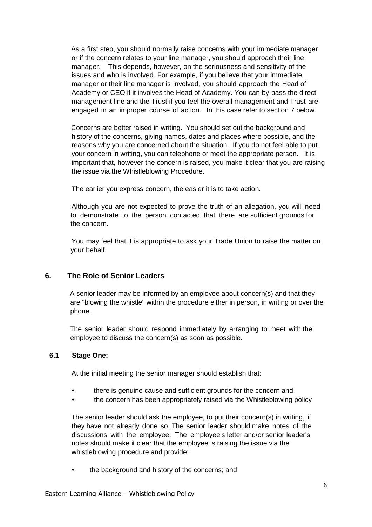As a first step, you should normally raise concerns with your immediate manager or if the concern relates to your line manager, you should approach their line manager. This depends, however, on the seriousness and sensitivity of the issues and who is involved. For example, if you believe that your immediate manager or their line manager is involved, you should approach the Head of Academy or CEO if it involves the Head of Academy. You can by-pass the direct management line and the Trust if you feel the overall management and Trust are engaged in an improper course of action. In this case refer to section 7 below.

Concerns are better raised in writing. You should set out the background and history of the concerns, giving names, dates and places where possible, and the reasons why you are concerned about the situation. If you do not feel able to put your concern in writing, you can telephone or meet the appropriate person. It is important that, however the concern is raised, you make it clear that you are raising the issue via the Whistleblowing Procedure.

The earlier you express concern, the easier it is to take action.

Although you are not expected to prove the truth of an allegation, you will need to demonstrate to the person contacted that there are sufficient grounds for the concern.

You may feel that it is appropriate to ask your Trade Union to raise the matter on your behalf.

#### <span id="page-5-0"></span>**6. The Role of Senior Leaders**

A senior leader may be informed by an employee about concern(s) and that they are "blowing the whistle" within the procedure either in person, in writing or over the phone.

The senior leader should respond immediately by arranging to meet with the employee to discuss the concern(s) as soon as possible.

#### **6.1 Stage One:**

At the initial meeting the senior manager should establish that:

- there is genuine cause and sufficient grounds for the concern and
- the concern has been appropriately raised via the Whistleblowing policy

The senior leader should ask the employee, to put their concern(s) in writing, if they have not already done so. The senior leader should make notes of the discussions with the employee. The employee's letter and/or senior leader's notes should make it clear that the employee is raising the issue via the whistleblowing procedure and provide:

• the background and history of the concerns; and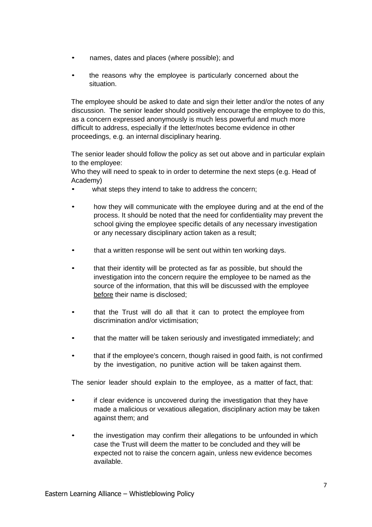- names, dates and places (where possible); and
- the reasons why the employee is particularly concerned about the situation.

The employee should be asked to date and sign their letter and/or the notes of any discussion. The senior leader should positively encourage the employee to do this, as a concern expressed anonymously is much less powerful and much more difficult to address, especially if the letter/notes become evidence in other proceedings, e.g. an internal disciplinary hearing.

The senior leader should follow the policy as set out above and in particular explain to the employee:

Who they will need to speak to in order to determine the next steps (e.g. Head of Academy)

- what steps they intend to take to address the concern;
- how they will communicate with the employee during and at the end of the process. It should be noted that the need for confidentiality may prevent the school giving the employee specific details of any necessary investigation or any necessary disciplinary action taken as a result;
- that a written response will be sent out within ten working days.
- that their identity will be protected as far as possible, but should the investigation into the concern require the employee to be named as the source of the information, that this will be discussed with the employee before their name is disclosed;
- that the Trust will do all that it can to protect the employee from discrimination and/or victimisation;
- that the matter will be taken seriously and investigated immediately; and
- that if the employee's concern, though raised in good faith, is not confirmed by the investigation, no punitive action will be taken against them.

The senior leader should explain to the employee, as a matter of fact, that:

- if clear evidence is uncovered during the investigation that they have made a malicious or vexatious allegation, disciplinary action may be taken against them; and
- the investigation may confirm their allegations to be unfounded in which case the Trust will deem the matter to be concluded and they will be expected not to raise the concern again, unless new evidence becomes available.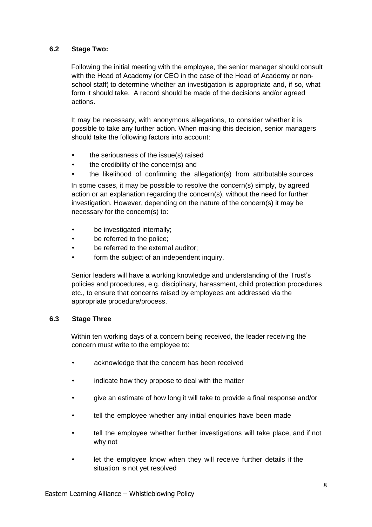#### **6.2 Stage Two:**

Following the initial meeting with the employee, the senior manager should consult with the Head of Academy (or CEO in the case of the Head of Academy or nonschool staff) to determine whether an investigation is appropriate and, if so, what form it should take. A record should be made of the decisions and/or agreed actions.

It may be necessary, with anonymous allegations, to consider whether it is possible to take any further action. When making this decision, senior managers should take the following factors into account:

- the seriousness of the issue(s) raised
- the credibility of the concern(s) and
- the likelihood of confirming the allegation(s) from attributable sources

In some cases, it may be possible to resolve the concern(s) simply, by agreed action or an explanation regarding the concern(s), without the need for further investigation. However, depending on the nature of the concern(s) it may be necessary for the concern(s) to:

- be investigated internally:
- be referred to the police;
- be referred to the external auditor;
- form the subject of an independent inquiry.

Senior leaders will have a working knowledge and understanding of the Trust's policies and procedures, e.g. disciplinary, harassment, child protection procedures etc., to ensure that concerns raised by employees are addressed via the appropriate procedure/process.

#### **6.3 Stage Three**

Within ten working days of a concern being received, the leader receiving the concern must write to the employee to:

- acknowledge that the concern has been received
- indicate how they propose to deal with the matter
- give an estimate of how long it will take to provide a final response and/or
- tell the employee whether any initial enquiries have been made
- tell the employee whether further investigations will take place, and if not why not
- let the employee know when they will receive further details if the situation is not yet resolved